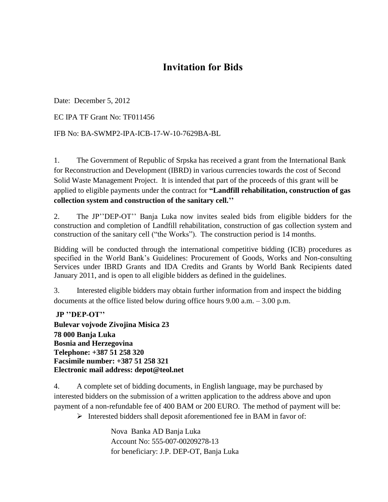## **Invitation for Bids**

Date: December 5, 2012

EC IPA TF Grant No: TF011456

IFB No: BA-SWMP2-IPA-ICB-17-W-10-7629BA-BL

1. The Government of Republic of Srpska has received a grant from the International Bank for Reconstruction and Development (IBRD) in various currencies towards the cost of Second Solid Waste Management Project. It is intended that part of the proceeds of this grant will be applied to eligible payments under the contract for **"Landfill rehabilitation, construction of gas collection system and construction of the sanitary cell.''**

2. The JP""DEP-OT"" Banja Luka now invites sealed bids from eligible bidders for the construction and completion of Landfill rehabilitation, construction of gas collection system and construction of the sanitary cell ("the Works"). The construction period is 14 months.

Bidding will be conducted through the international competitive bidding (ICB) procedures as specified in the World Bank"s Guidelines: Procurement of Goods, Works and Non-consulting Services under IBRD Grants and IDA Credits and Grants by World Bank Recipients dated January 2011, and is open to all eligible bidders as defined in the guidelines.

3. Interested eligible bidders may obtain further information from and inspect the bidding documents at the office listed below during office hours 9.00 a.m. – 3.00 p.m.

**JP ''DEP-OT'' Bulevar vojvode Zivojina Misica 23 78 000 Banja Luka Bosnia and Herzegovina Telephone: +387 51 258 320 Facsimile number: +387 51 258 321 Electronic mail address: depot@teol.net**

4. A complete set of bidding documents, in English language, may be purchased by interested bidders on the submission of a written application to the address above and upon payment of a non-refundable fee of 400 BAM or 200 EURO. The method of payment will be:

 $\triangleright$  Interested bidders shall deposit aforementioned fee in BAM in favor of:

Nova Banka AD Banja Luka Account No: 555-007-00209278-13 for beneficiary: J.P. DEP-OT, Banja Luka